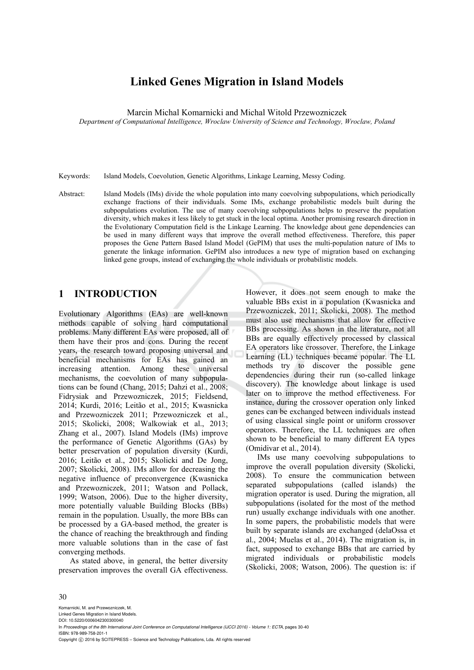# **Linked Genes Migration in Island Models**

Marcin Michal Komarnicki and Michal Witold Przewozniczek

*Department of Computational Intelligence, Wroclaw University of Science and Technology, Wroclaw, Poland* 

Keywords: Island Models, Coevolution, Genetic Algorithms, Linkage Learning, Messy Coding.

Abstract: Island Models (IMs) divide the whole population into many coevolving subpopulations, which periodically exchange fractions of their individuals. Some IMs, exchange probabilistic models built during the subpopulations evolution. The use of many coevolving subpopulations helps to preserve the population diversity, which makes it less likely to get stuck in the local optima. Another promising research direction in the Evolutionary Computation field is the Linkage Learning. The knowledge about gene dependencies can be used in many different ways that improve the overall method effectiveness. Therefore, this paper proposes the Gene Pattern Based Island Model (GePIM) that uses the multi-population nature of IMs to generate the linkage information. GePIM also introduces a new type of migration based on exchanging linked gene groups, instead of exchanging the whole individuals or probabilistic models.

### **1 INTRODUCTION**

Evolutionary Algorithms (EAs) are well-known methods capable of solving hard computational problems. Many different EAs were proposed, all of them have their pros and cons. During the recent years, the research toward proposing universal and beneficial mechanisms for EAs has gained an increasing attention. Among these universal mechanisms, the coevolution of many subpopulations can be found (Chang, 2015; Dahzi et al., 2008; Fidrysiak and Przewozniczek, 2015; Fieldsend, 2014; Kurdi, 2016; Leitão et al., 2015; Kwasnicka and Przewozniczek 2011; Przewozniczek et al., 2015; Skolicki, 2008; Walkowiak et al., 2013; Zhang et al., 2007). Island Models (IMs) improve the performance of Genetic Algorithms (GAs) by better preservation of population diversity (Kurdi, 2016; Leitão et al., 2015; Skolicki and De Jong, 2007; Skolicki, 2008). IMs allow for decreasing the negative influence of preconvergence (Kwasnicka and Przewozniczek, 2011; Watson and Pollack, 1999; Watson, 2006). Due to the higher diversity, more potentially valuable Building Blocks (BBs) remain in the population. Usually, the more BBs can be processed by a GA-based method, the greater is the chance of reaching the breakthrough and finding more valuable solutions than in the case of fast converging methods.

As stated above, in general, the better diversity preservation improves the overall GA effectiveness. However, it does not seem enough to make the valuable BBs exist in a population (Kwasnicka and Przewozniczek, 2011; Skolicki, 2008). The method must also use mechanisms that allow for effective BBs processing. As shown in the literature, not all BBs are equally effectively processed by classical EA operators like crossover. Therefore, the Linkage Learning (LL) techniques became popular. The LL methods try to discover the possible gene dependencies during their run (so-called linkage discovery). The knowledge about linkage is used later on to improve the method effectiveness. For instance, during the crossover operation only linked genes can be exchanged between individuals instead of using classical single point or uniform crossover operators. Therefore, the LL techniques are often shown to be beneficial to many different EA types (Omidivar et al., 2014).

IMs use many coevolving subpopulations to improve the overall population diversity (Skolicki, 2008). To ensure the communication between separated subpopulations (called islands) the migration operator is used. During the migration, all subpopulations (isolated for the most of the method run) usually exchange individuals with one another. In some papers, the probabilistic models that were built by separate islands are exchanged (delaOssa et al., 2004; Muelas et al., 2014). The migration is, in fact, supposed to exchange BBs that are carried by migrated individuals or probabilistic models (Skolicki, 2008; Watson, 2006). The question is: if

#### 30

Komarnicki, M. and Przewozniczek, M. Linked Genes Migration in Island Models. DOI: 10.5220/0006042300300040 In *Proceedings of the 8th International Joint Conference on Computational Intelligence (IJCCI 2016) - Volume 1: ECTA*, pages 30-40 ISBN: 978-989-758-201-1 Copyright © 2016 by SCITEPRESS - Science and Technology Publications, Lda. All rights reserved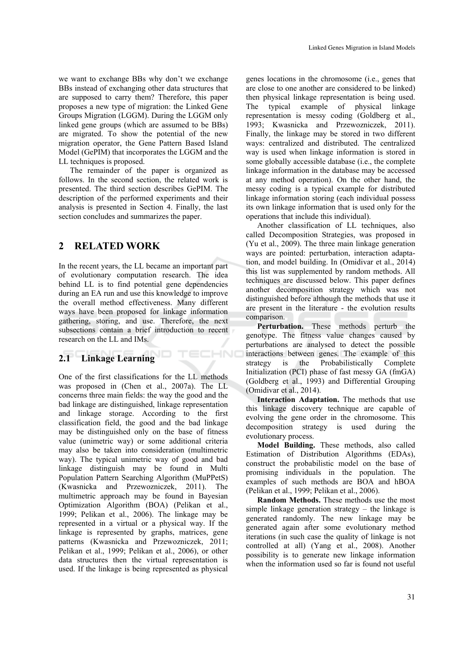we want to exchange BBs why don't we exchange BBs instead of exchanging other data structures that are supposed to carry them? Therefore, this paper proposes a new type of migration: the Linked Gene Groups Migration (LGGM). During the LGGM only linked gene groups (which are assumed to be BBs) are migrated. To show the potential of the new migration operator, the Gene Pattern Based Island Model (GePIM) that incorporates the LGGM and the LL techniques is proposed.

The remainder of the paper is organized as follows. In the second section, the related work is presented. The third section describes GePIM. The description of the performed experiments and their analysis is presented in Section 4. Finally, the last section concludes and summarizes the paper.

### **2 RELATED WORK**

In the recent years, the LL became an important part of evolutionary computation research. The idea behind LL is to find potential gene dependencies during an EA run and use this knowledge to improve the overall method effectiveness. Many different ways have been proposed for linkage information gathering, storing, and use. Therefore, the next subsections contain a brief introduction to recent research on the LL and IMs.

TECHNO

### **2.1 Linkage Learning**

One of the first classifications for the LL methods was proposed in (Chen et al., 2007a). The LL concerns three main fields: the way the good and the bad linkage are distinguished, linkage representation and linkage storage. According to the first classification field, the good and the bad linkage may be distinguished only on the base of fitness value (unimetric way) or some additional criteria may also be taken into consideration (multimetric way). The typical unimetric way of good and bad linkage distinguish may be found in Multi Population Pattern Searching Algorithm (MuPPetS) (Kwasnicka and Przewozniczek, 2011). The multimetric approach may be found in Bayesian Optimization Algorithm (BOA) (Pelikan et al., 1999; Pelikan et al., 2006). The linkage may be represented in a virtual or a physical way. If the linkage is represented by graphs, matrices, gene patterns (Kwasnicka and Przewozniczek, 2011; Pelikan et al., 1999; Pelikan et al., 2006), or other data structures then the virtual representation is used. If the linkage is being represented as physical

genes locations in the chromosome (i.e., genes that are close to one another are considered to be linked) then physical linkage representation is being used. The typical example of physical linkage representation is messy coding (Goldberg et al., 1993; Kwasnicka and Przewozniczek, 2011). Finally, the linkage may be stored in two different ways: centralized and distributed. The centralized way is used when linkage information is stored in some globally accessible database (i.e., the complete linkage information in the database may be accessed at any method operation). On the other hand, the messy coding is a typical example for distributed linkage information storing (each individual possess its own linkage information that is used only for the operations that include this individual).

Another classification of LL techniques, also called Decomposition Strategies, was proposed in (Yu et al., 2009). The three main linkage generation ways are pointed: perturbation, interaction adaptation, and model building. In (Omidivar et al., 2014) this list was supplemented by random methods. All techniques are discussed below. This paper defines another decomposition strategy which was not distinguished before although the methods that use it are present in the literature - the evolution results comparison.

**Perturbation.** These methods perturb the genotype. The fitness value changes caused by perturbations are analysed to detect the possible interactions between genes. The example of this strategy is the Probabilistically Complete Initialization (PCI) phase of fast messy GA (fmGA) (Goldberg et al., 1993) and Differential Grouping (Omidivar et al., 2014).

**Interaction Adaptation.** The methods that use this linkage discovery technique are capable of evolving the gene order in the chromosome. This decomposition strategy is used during the evolutionary process.

**Model Building.** These methods, also called Estimation of Distribution Algorithms (EDAs), construct the probabilistic model on the base of promising individuals in the population. The examples of such methods are BOA and hBOA (Pelikan et al., 1999; Pelikan et al., 2006).

**Random Methods.** These methods use the most simple linkage generation strategy – the linkage is generated randomly. The new linkage may be generated again after some evolutionary method iterations (in such case the quality of linkage is not controlled at all) (Yang et al., 2008). Another possibility is to generate new linkage information when the information used so far is found not useful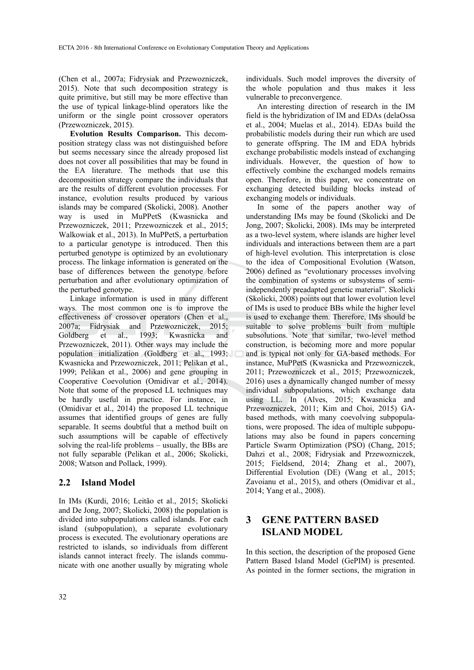(Chen et al., 2007a; Fidrysiak and Przewozniczek, 2015). Note that such decomposition strategy is quite primitive, but still may be more effective than the use of typical linkage-blind operators like the uniform or the single point crossover operators (Przewozniczek, 2015).

**Evolution Results Comparison.** This decomposition strategy class was not distinguished before but seems necessary since the already proposed list does not cover all possibilities that may be found in the EA literature. The methods that use this decomposition strategy compare the individuals that are the results of different evolution processes. For instance, evolution results produced by various islands may be compared (Skolicki, 2008). Another way is used in MuPPetS (Kwasnicka and Przewozniczek, 2011; Przewozniczek et al., 2015; Walkowiak et al., 2013). In MuPPetS, a perturbation to a particular genotype is introduced. Then this perturbed genotype is optimized by an evolutionary process. The linkage information is generated on the base of differences between the genotype before perturbation and after evolutionary optimization of the perturbed genotype.

Linkage information is used in many different ways. The most common one is to improve the effectiveness of crossover operators (Chen et al., 2007a; Fidrysiak and Przewozniczek, 2015; Goldberg et al., 1993; Kwasnicka and Przewozniczek, 2011). Other ways may include the population initialization (Goldberg et al., 1993; Kwasnicka and Przewozniczek, 2011; Pelikan et al., 1999; Pelikan et al., 2006) and gene grouping in Cooperative Coevolution (Omidivar et al., 2014). Note that some of the proposed LL techniques may be hardly useful in practice. For instance, in (Omidivar et al., 2014) the proposed LL technique assumes that identified groups of genes are fully separable. It seems doubtful that a method built on such assumptions will be capable of effectively solving the real-life problems – usually, the BBs are not fully separable (Pelikan et al., 2006; Skolicki, 2008; Watson and Pollack, 1999).

### **2.2 Island Model**

In IMs (Kurdi, 2016; Leitão et al., 2015; Skolicki and De Jong, 2007; Skolicki, 2008) the population is divided into subpopulations called islands. For each island (subpopulation), a separate evolutionary process is executed. The evolutionary operations are restricted to islands, so individuals from different islands cannot interact freely. The islands communicate with one another usually by migrating whole

individuals. Such model improves the diversity of the whole population and thus makes it less vulnerable to preconvergence.

An interesting direction of research in the IM field is the hybridization of IM and EDAs (delaOssa et al., 2004; Muelas et al., 2014). EDAs build the probabilistic models during their run which are used to generate offspring. The IM and EDA hybrids exchange probabilistic models instead of exchanging individuals. However, the question of how to effectively combine the exchanged models remains open. Therefore, in this paper, we concentrate on exchanging detected building blocks instead of exchanging models or individuals.

In some of the papers another way of understanding IMs may be found (Skolicki and De Jong, 2007; Skolicki, 2008). IMs may be interpreted as a two-level system, where islands are higher level individuals and interactions between them are a part of high-level evolution. This interpretation is close to the idea of Compositional Evolution (Watson, 2006) defined as "evolutionary processes involving the combination of systems or subsystems of semiindependently preadapted genetic material". Skolicki (Skolicki, 2008) points out that lower evolution level of IMs is used to produce BBs while the higher level is used to exchange them. Therefore, IMs should be suitable to solve problems built from multiple subsolutions. Note that similar, two-level method construction, is becoming more and more popular and is typical not only for GA-based methods. For instance, MuPPetS (Kwasnicka and Przewozniczek, 2011; Przewozniczek et al., 2015; Przewozniczek, 2016) uses a dynamically changed number of messy individual subpopulations, which exchange data using LL. In (Alves, 2015; Kwasnicka and Przewozniczek, 2011; Kim and Choi, 2015) GAbased methods, with many coevolving subpopulations, were proposed. The idea of multiple subpopulations may also be found in papers concerning Particle Swarm Optimization (PSO) (Chang, 2015; Dahzi et al., 2008; Fidrysiak and Przewozniczek, 2015; Fieldsend, 2014; Zhang et al., 2007), Differential Evolution (DE) (Wang et al., 2015; Zavoianu et al., 2015), and others (Omidivar et al., 2014; Yang et al., 2008).

# **3 GENE PATTERN BASED ISLAND MODEL**

In this section, the description of the proposed Gene Pattern Based Island Model (GePIM) is presented. As pointed in the former sections, the migration in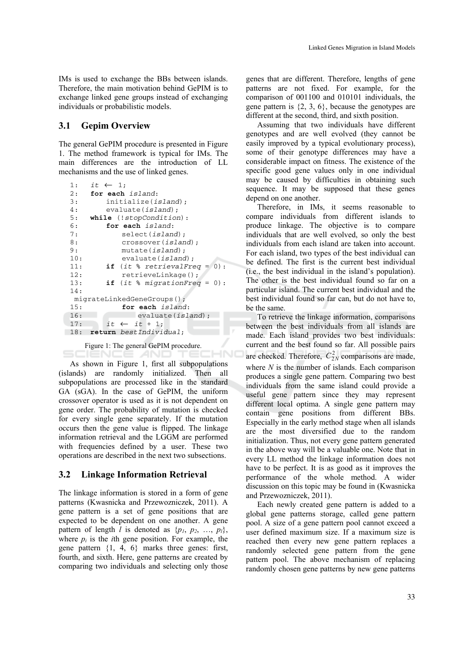IMs is used to exchange the BBs between islands. Therefore, the main motivation behind GePIM is to exchange linked gene groups instead of exchanging individuals or probabilistic models.

#### **3.1 Gepim Overview**

The general GePIM procedure is presented in Figure 1. The method framework is typical for IMs. The main differences are the introduction of LL mechanisms and the use of linked genes.

```
1: it \leftarrow 1;2: for each island: 
3: initialize(island); 
4: evaluate(island); 
5: while (!stopCondition): 
       6: for each island: 
7: select(island); 
8: crossover(island); 
           9: mutate(island); 
10: evaluate(island); 
       if (it % retrievalFreq = 0):
12: retrieveLinkage();
13: if (it % migrationFreq = 0): 
14: 
  migrateLinkedGeneGroups(); 
15: for each island: 
16: evaluate(island); 
17: it \leftarrow it + 1;18: return bestIndividual;
```
Figure 1: The general GePIM procedure. SCIENCE *A*ND TE(

HN

As shown in Figure 1, first all subpopulations (islands) are randomly initialized. Then all subpopulations are processed like in the standard GA (sGA). In the case of GePIM, the uniform crossover operator is used as it is not dependent on gene order. The probability of mutation is checked for every single gene separately. If the mutation occurs then the gene value is flipped. The linkage information retrieval and the LGGM are performed with frequencies defined by a user. These two operations are described in the next two subsections.

#### **3.2 Linkage Information Retrieval**

The linkage information is stored in a form of gene patterns (Kwasnicka and Przewozniczek, 2011). A gene pattern is a set of gene positions that are expected to be dependent on one another. A gene pattern of length *l* is denoted as  $\{p_1, p_2, ..., p_l\}$ , where  $p_i$  is the *i*th gene position. For example, the gene pattern {1, 4, 6} marks three genes: first, fourth, and sixth. Here, gene patterns are created by comparing two individuals and selecting only those

genes that are different. Therefore, lengths of gene patterns are not fixed. For example, for the comparison of 001100 and 010101 individuals, the gene pattern is  $\{2, 3, 6\}$ , because the genotypes are different at the second, third, and sixth position.

Assuming that two individuals have different genotypes and are well evolved (they cannot be easily improved by a typical evolutionary process), some of their genotype differences may have a considerable impact on fitness. The existence of the specific good gene values only in one individual may be caused by difficulties in obtaining such sequence. It may be supposed that these genes depend on one another.

Therefore, in IMs, it seems reasonable to compare individuals from different islands to produce linkage. The objective is to compare individuals that are well evolved, so only the best individuals from each island are taken into account. For each island, two types of the best individual can be defined. The first is the current best individual (i.e., the best individual in the island's population). The other is the best individual found so far on a particular island. The current best individual and the best individual found so far can, but do not have to, be the same.

To retrieve the linkage information, comparisons between the best individuals from all islands are made. Each island provides two best individuals: current and the best found so far. All possible pairs are checked. Therefore,  $C_{2N}^2$  comparisons are made, where *N* is the number of islands. Each comparison produces a single gene pattern. Comparing two best individuals from the same island could provide a useful gene pattern since they may represent different local optima. A single gene pattern may contain gene positions from different BBs. Especially in the early method stage when all islands are the most diversified due to the random initialization. Thus, not every gene pattern generated in the above way will be a valuable one. Note that in every LL method the linkage information does not have to be perfect. It is as good as it improves the performance of the whole method. A wider discussion on this topic may be found in (Kwasnicka and Przewozniczek, 2011).

Each newly created gene pattern is added to a global gene patterns storage, called gene pattern pool. A size of a gene pattern pool cannot exceed a user defined maximum size. If a maximum size is reached then every new gene pattern replaces a randomly selected gene pattern from the gene pattern pool. The above mechanism of replacing randomly chosen gene patterns by new gene patterns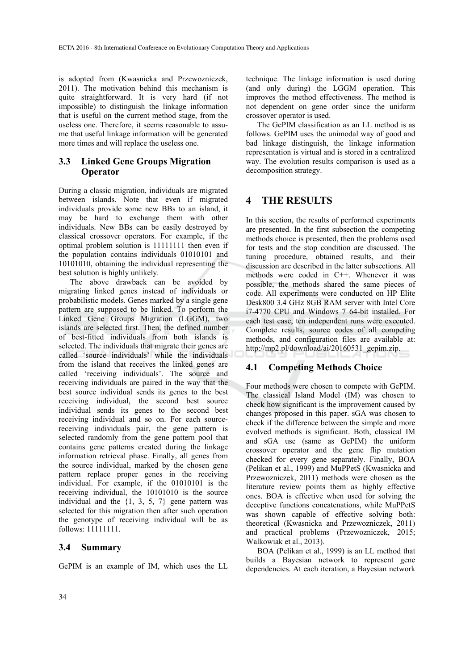is adopted from (Kwasnicka and Przewozniczek, 2011). The motivation behind this mechanism is quite straightforward. It is very hard (if not impossible) to distinguish the linkage information that is useful on the current method stage, from the useless one. Therefore, it seems reasonable to assume that useful linkage information will be generated more times and will replace the useless one.

### **3.3 Linked Gene Groups Migration Operator**

During a classic migration, individuals are migrated between islands. Note that even if migrated individuals provide some new BBs to an island, it may be hard to exchange them with other individuals. New BBs can be easily destroyed by classical crossover operators. For example, if the optimal problem solution is 11111111 then even if the population contains individuals 01010101 and 10101010, obtaining the individual representing the best solution is highly unlikely.

The above drawback can be avoided by migrating linked genes instead of individuals or probabilistic models. Genes marked by a single gene pattern are supposed to be linked. To perform the Linked Gene Groups Migration (LGGM), two islands are selected first. Then, the defined number of best-fitted individuals from both islands is selected. The individuals that migrate their genes are called 'source individuals' while the individuals from the island that receives the linked genes are called 'receiving individuals'. The source and receiving individuals are paired in the way that the best source individual sends its genes to the best receiving individual, the second best source individual sends its genes to the second best receiving individual and so on. For each sourcereceiving individuals pair, the gene pattern is selected randomly from the gene pattern pool that contains gene patterns created during the linkage information retrieval phase. Finally, all genes from the source individual, marked by the chosen gene pattern replace proper genes in the receiving individual. For example, if the 01010101 is the receiving individual, the 10101010 is the source individual and the {1, 3, 5, 7} gene pattern was selected for this migration then after such operation the genotype of receiving individual will be as follows: 11111111.

### **3.4 Summary**

GePIM is an example of IM, which uses the LL

technique. The linkage information is used during (and only during) the LGGM operation. This improves the method effectiveness. The method is not dependent on gene order since the uniform crossover operator is used.

The GePIM classification as an LL method is as follows. GePIM uses the unimodal way of good and bad linkage distinguish, the linkage information representation is virtual and is stored in a centralized way. The evolution results comparison is used as a decomposition strategy.

# **4 THE RESULTS**

In this section, the results of performed experiments are presented. In the first subsection the competing methods choice is presented, then the problems used for tests and the stop condition are discussed. The tuning procedure, obtained results, and their discussion are described in the latter subsections. All methods were coded in C++. Whenever it was possible, the methods shared the same pieces of code. All experiments were conducted on HP Elite Desk800 3.4 GHz 8GB RAM server with Intel Core i7-4770 CPU and Windows 7 64-bit installed. For each test case, ten independent runs were executed. Complete results, source codes of all competing methods, and configuration files are available at: http://mp2.pl/download/ai/20160531\_gepim.zip.

### **4.1 Competing Methods Choice**

Four methods were chosen to compete with GePIM. The classical Island Model (IM) was chosen to check how significant is the improvement caused by changes proposed in this paper. sGA was chosen to check if the difference between the simple and more evolved methods is significant. Both, classical IM and sGA use (same as GePIM) the uniform crossover operator and the gene flip mutation checked for every gene separately. Finally, BOA (Pelikan et al., 1999) and MuPPetS (Kwasnicka and Przewozniczek, 2011) methods were chosen as the literature review points them as highly effective ones. BOA is effective when used for solving the deceptive functions concatenations, while MuPPetS was shown capable of effective solving both: theoretical (Kwasnicka and Przewozniczek, 2011) and practical problems (Przewozniczek, 2015; Walkowiak et al., 2013).

BOA (Pelikan et al., 1999) is an LL method that builds a Bayesian network to represent gene dependencies. At each iteration, a Bayesian network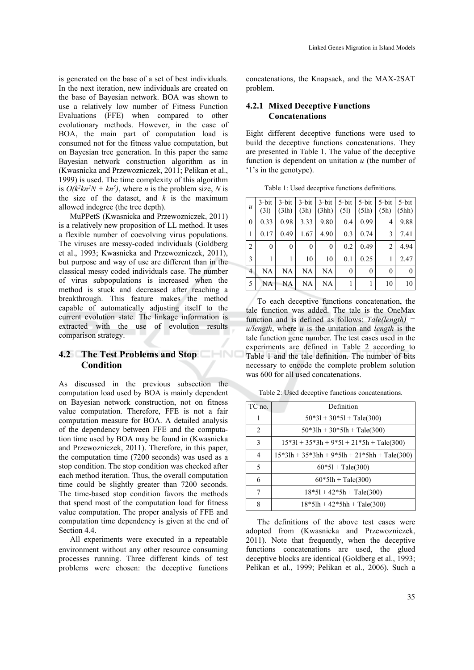is generated on the base of a set of best individuals. In the next iteration, new individuals are created on the base of Bayesian network. BOA was shown to use a relatively low number of Fitness Function Evaluations (FFE) when compared to other evolutionary methods. However, in the case of BOA, the main part of computation load is consumed not for the fitness value computation, but on Bayesian tree generation. In this paper the same Bayesian network construction algorithm as in (Kwasnicka and Przewozniczek, 2011; Pelikan et al., 1999) is used. The time complexity of this algorithm is  $O(k^2kn^2N + kn^3)$ , where *n* is the problem size, *N* is the size of the dataset, and  $k$  is the maximum allowed indegree (the tree depth).

MuPPetS (Kwasnicka and Przewozniczek, 2011) is a relatively new proposition of LL method. It uses a flexible number of coevolving virus populations. The viruses are messy-coded individuals (Goldberg et al., 1993; Kwasnicka and Przewozniczek, 2011), but purpose and way of use are different than in the classical messy coded individuals case. The number of virus subpopulations is increased when the method is stuck and decreased after reaching a breakthrough. This feature makes the method capable of automatically adjusting itself to the current evolution state. The linkage information is extracted with the use of evolution results comparison strategy.

### **4.2 The Test Problems and Stop Condition**

As discussed in the previous subsection the computation load used by BOA is mainly dependent on Bayesian network construction, not on fitness value computation. Therefore, FFE is not a fair computation measure for BOA. A detailed analysis of the dependency between FFE and the computation time used by BOA may be found in (Kwasnicka and Przewozniczek, 2011). Therefore, in this paper, the computation time (7200 seconds) was used as a stop condition. The stop condition was checked after each method iteration. Thus, the overall computation time could be slightly greater than 7200 seconds. The time-based stop condition favors the methods that spend most of the computation load for fitness value computation. The proper analysis of FFE and computation time dependency is given at the end of Section 4.4.

All experiments were executed in a repeatable environment without any other resource consuming processes running. Three different kinds of test problems were chosen: the deceptive functions

concatenations, the Knapsack, and the MAX-2SAT problem.

#### **4.2.1 Mixed Deceptive Functions Concatenations**

Eight different deceptive functions were used to build the deceptive functions concatenations. They are presented in Table 1. The value of the deceptive function is dependent on unitation *u* (the number of '1's in the genotype).

| $\boldsymbol{u}$ | 3-bit<br>(31) | 3-bit<br>(3lh)   | 3-bit<br>(3h) | 3-bit<br>(3hh) | 5-bit<br>(51) | 5-bit<br>(5lh) | 5-bit<br>(5h)  | 5-bit<br>(5hh) |
|------------------|---------------|------------------|---------------|----------------|---------------|----------------|----------------|----------------|
| $\overline{0}$   | 0.33          | 0.98             | 3.33          | 9.80           | 0.4           | 0.99           | 4              | 9.88           |
| 1                | 0.17          | 0.49             | 1.67          | 4.90           | 0.3           | 0.74           | 3              | 7.41           |
| $\overline{c}$   | $\theta$      | $\boldsymbol{0}$ | $\theta$      | $\theta$       | 0.2           | 0.49           | $\overline{2}$ | 4.94           |
| 3                |               |                  | 10            | 10             | 0.1           | 0.25           | 1              | 2.47           |
| 4                | NA            | NA               | NA            | NA             | $\mathbf{0}$  | $\theta$       | $\mathbf{0}$   | $\mathbf{0}$   |
| 5                | NA            | NA               | NA            | NA             | 1             |                | 10             | 10             |

Table 1: Used deceptive functions definitions.

To each deceptive functions concatenation, the tale function was added. The tale is the OneMax function and is defined as follows: *Tale(length) = u/length*, where *u* is the unitation and *length* is the tale function gene number. The test cases used in the experiments are defined in Table 2 according to Table 1 and the tale definition. The number of bits necessary to encode the complete problem solution was 600 for all used concatenations.

Table 2: Used deceptive functions concatenations.

| TC no. | Definition                                     |
|--------|------------------------------------------------|
| 1      | $50*31 + 30*51 + Tale(300)$                    |
| 2      | $50*3lh + 30*5lh + Tale(300)$                  |
| 3      | $15*3l + 35*3h + 9*5l + 21*5h + Tale(300)$     |
| 4      | $15*3lh + 35*3hh + 9*5lh + 21*5hh + Tale(300)$ |
| 5      | $60*51 + Tale(300)$                            |
| 6      | $60*5lh + Tale(300)$                           |
| 7      | $18*51 + 42*5h + \text{Tale}(300)$             |
| 8      | $18*5lh + 42*5hh + Tale(300)$                  |
|        |                                                |

The definitions of the above test cases were adopted from (Kwasnicka and Przewozniczek, 2011). Note that frequently, when the deceptive functions concatenations are used, the glued deceptive blocks are identical (Goldberg et al., 1993; Pelikan et al., 1999; Pelikan et al., 2006). Such a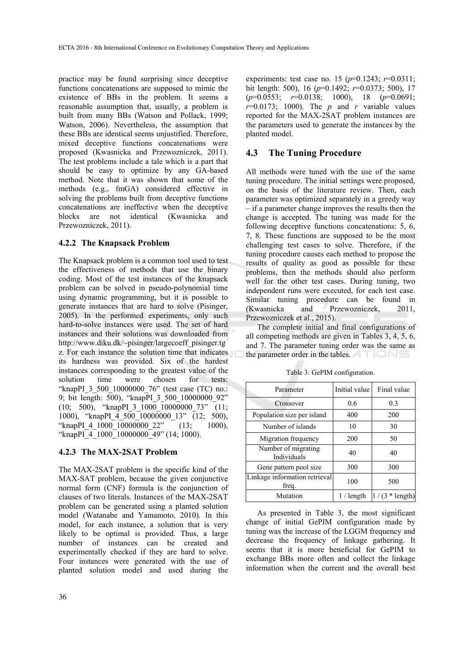practice may be found surprising since deceptive functions concatenations are supposed to mimic the existence of BBs in the problem. It seems a reasonable assumption that, usually, a problem is built from many BBs (Watson and Pollack, 1999; Watson, 2006). Nevertheless, the assumption that these BBs are identical seems unjustified. Therefore, mixed deceptive functions concatenations were proposed (Kwasnicka and Przewozniczek, 2011). The test problems include a tale which is a part that should be easy to optimize by any GA-based method. Note that it was shown that some of the methods (e.g., fmGA) considered effective in solving the problems built from deceptive functions concatenations are ineffective when the deceptive blocks are not identical (Kwasnicka and Przewozniczek, 2011).

#### **4.2.2 The Knapsack Problem**

The Knapsack problem is a common tool used to test the effectiveness of methods that use the binary coding. Most of the test instances of the knapsack problem can be solved in pseudo-polynomial time using dynamic programming, but it is possible to generate instances that are hard to solve (Pisinger, 2005). In the performed experiments, only such hard-to-solve instances were used. The set of hard instances and their solutions was downloaded from http://www.diku.dk/~pisinger/largecoeff\_pisinger.tg z. For each instance the solution time that indicates its hardness was provided. Six of the hardest instances corresponding to the greatest value of the solution time were chosen for tests: "knapPI\_3\_500\_10000000\_76" (test case (TC) no.: 9; bit length: 500), "knapPI 3 500 10000000 92"  $(10; 500)$ , "knapPI 3  $1000$   $10000000$  73" (11; 1000), "knapPI\_4\_500\_10000000\_13" (12; 500), "knapPI\_4\_1000\_10000000\_22" (13; 1000), "knapPI\_4\_1000\_10000000\_49" (14; 1000).

#### **4.2.3 The MAX-2SAT Problem**

The MAX-2SAT problem is the specific kind of the MAX-SAT problem, because the given conjunctive normal form (CNF) formula is the conjunction of clauses of two literals. Instances of the MAX-2SAT problem can be generated using a planted solution model (Watanabe and Yamamoto, 2010). In this model, for each instance, a solution that is very likely to be optimal is provided. Thus, a large number of instances can be created and experimentally checked if they are hard to solve. Four instances were generated with the use of planted solution model and used during the

experiments: test case no. 15 (*p*=0.1243; *r*=0.0311; bit length: 500), 16 (*p*=0.1492; *r*=0.0373; 500), 17 (*p*=0.0553; *r*=0.0138; 1000), 18 (*p*=0.0691;  $r=0.0173$ ; 1000). The *p* and *r* variable values reported for the MAX-2SAT problem instances are the parameters used to generate the instances by the planted model.

#### **4.3 The Tuning Procedure**

All methods were tuned with the use of the same tuning procedure. The initial settings were proposed, on the basis of the literature review. Then, each parameter was optimized separately in a greedy way – if a parameter change improves the results then the change is accepted. The tuning was made for the following deceptive functions concatenations: 5, 6, 7, 8. These functions are supposed to be the most challenging test cases to solve. Therefore, if the tuning procedure causes each method to propose the results of quality as good as possible for these problems, then the methods should also perform well for the other test cases. During tuning, two independent runs were executed, for each test case. Similar tuning procedure can be found in (Kwasnicka and Przewozniczek, 2011, Przewozniczek et al., 2015).

The complete initial and final configurations of all competing methods are given in Tables 3, 4, 5, 6, and 7. The parameter tuning order was the same as the parameter order in the tables.

| Parameter                              | Initial value | Final value      |
|----------------------------------------|---------------|------------------|
| Crossover                              | 0.6           | 0.3              |
| Population size per island             | 400           | 200              |
| Number of islands                      | 10            | 30               |
| Migration frequency                    | 200           | 50               |
| Number of migrating<br>Individuals     | 40            | 40               |
| Gene pattern pool size                 | 300           | 300              |
| Linkage information retrieval<br>freq. | 100           | 500              |
| Mutation                               | $1/$ length   | $1/(3 * length)$ |

Table 3: GePIM configuration.

As presented in Table 3, the most significant change of initial GePIM configuration made by tuning was the increase of the LGGM frequency and decrease the frequency of linkage gathering. It seems that it is more beneficial for GePIM to exchange BBs more often and collect the linkage information when the current and the overall best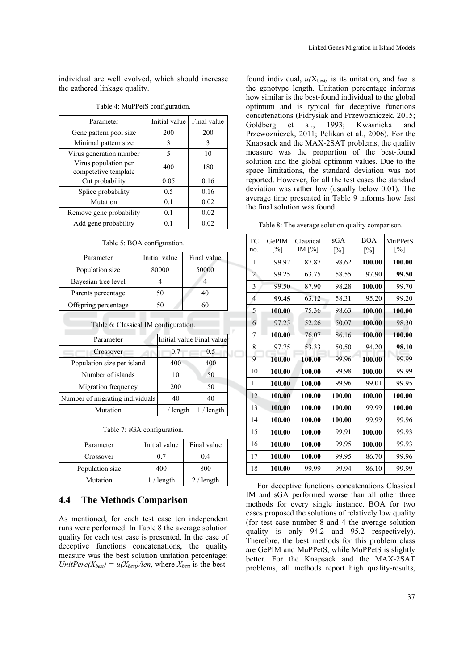individual are well evolved, which should increase the gathered linkage quality.

| Parameter                                    | Initial value | Final value |
|----------------------------------------------|---------------|-------------|
| Gene pattern pool size                       | 200           | 200         |
| Minimal pattern size                         | 3             | 3           |
| Virus generation number                      | 5             | 10          |
| Virus population per<br>competetive template | 400           | 180         |
| Cut probability                              | 0.05          | 0.16        |
| Splice probability                           | 0.5           | 0.16        |
| Mutation                                     | 0.1           | 0.02        |
| Remove gene probability                      | 0.1           | 0.02        |
| Add gene probability                         | 0.1           | 0.02        |

#### Table 4: MuPPetS configuration.

Table 5: BOA configuration.

| Parameter            | Initial value | Final value |
|----------------------|---------------|-------------|
| Population size      | 80000         | 50000       |
| Bayesian tree level  |               |             |
| Parents percentage   | 50            | 40          |
| Offspring percentage | 50            | 60          |

| Table 6: Classical IM configuration. |                           |             |  |  |  |  |
|--------------------------------------|---------------------------|-------------|--|--|--|--|
| Parameter                            | Initial value Final value |             |  |  |  |  |
| Crossover                            | 0.7                       | 0.5         |  |  |  |  |
| Population size per island           | 400                       | 400         |  |  |  |  |
| Number of islands                    | 10                        | 50          |  |  |  |  |
| Migration frequency                  | 200                       | 50          |  |  |  |  |
| Number of migrating individuals      | 40                        | 40          |  |  |  |  |
| Mutation                             | $1/$ length               | $1/$ length |  |  |  |  |

| Parameter       | Initial value | Final value |
|-----------------|---------------|-------------|
| Crossover       | 07            | 04          |
| Population size | 400           | 800         |
| Mutation        | $1/$ length   | 2 / length  |

#### **4.4 The Methods Comparison**

As mentioned, for each test case ten independent runs were performed. In Table 8 the average solution quality for each test case is presented. In the case of deceptive functions concatenations, the quality measure was the best solution unitation percentage: *UnitPerc(X<sub>best</sub>)* =  $u(X_{best})/len$ , where  $X_{best}$  is the best-

found individual, *u(*Xbest*)* is its unitation, and *len* is the genotype length. Unitation percentage informs how similar is the best-found individual to the global optimum and is typical for deceptive functions concatenations (Fidrysiak and Przewozniczek, 2015; Goldberg et al., 1993; Kwasnicka and Przewozniczek, 2011; Pelikan et al., 2006). For the Knapsack and the MAX-2SAT problems, the quality measure was the proportion of the best-found solution and the global optimum values. Due to the space limitations, the standard deviation was not reported. However, for all the test cases the standard deviation was rather low (usually below 0.01). The average time presented in Table 9 informs how fast the final solution was found.

|  |  | Table 8: The average solution quality comparison. |
|--|--|---------------------------------------------------|
|  |  |                                                   |

| <b>TC</b><br>no. | GePIM<br>$\lceil\% \rceil$ | Classical<br>IM $[\%]$ | sGA<br>$\lceil\% \rceil$ | <b>BOA</b><br>$\lceil\% \rceil$ | MuPPetS<br>$\lceil\% \rceil$ |
|------------------|----------------------------|------------------------|--------------------------|---------------------------------|------------------------------|
| 1                | 99.92                      | 87.87                  | 98.62                    | 100.00                          | 100.00                       |
| $\overline{c}$   | 99.25                      | 63.75                  | 58.55                    | 97.90                           | 99.50                        |
| 3                | 99.50                      | 87.90                  | 98.28                    | 100.00                          | 99.70                        |
| $\overline{4}$   | 99.45                      | 63.12                  | 58.31                    | 95.20                           | 99.20                        |
| 5                | 100.00                     | 75.36                  | 98.63                    | 100.00                          | 100.00                       |
| 6                | 97.25                      | 52.26                  | 50.07                    | 100.00                          | 98.30                        |
| 7                | 100.00                     | 76.07                  | 86.16                    | 100.00                          | 100.00                       |
| 8                | 97.75                      | 53.33                  | 50.50                    | 94.20                           | 98.10                        |
| 9                | 100.00                     | 100.00                 | 99.96                    | 100.00                          | 99.99                        |
| 10               | 100.00                     | 100.00                 | 99.98                    | 100.00                          | 99.99                        |
| 11               | 100.00                     | 100.00                 | 99.96                    | 99.01                           | 99.95                        |
| 12               | 100.00                     | 100.00                 | 100.00                   | 100.00                          | 100.00                       |
| 13               | 100.00                     | 100.00                 | 100.00                   | 99.99                           | 100.00                       |
| 14               | 100.00                     | 100.00                 | 100.00                   | 99.99                           | 99.96                        |
| 15               | 100.00                     | 100.00                 | 99.91                    | 100.00                          | 99.93                        |
| 16               | 100.00                     | 100.00                 | 99.95                    | 100.00                          | 99.93                        |
| 17               | 100.00                     | 100.00                 | 99.95                    | 86.70                           | 99.96                        |
| 18               | 100.00                     | 99.99                  | 99.94                    | 86.10                           | 99.99                        |

For deceptive functions concatenations Classical IM and sGA performed worse than all other three methods for every single instance. BOA for two cases proposed the solutions of relatively low quality (for test case number 8 and 4 the average solution quality is only 94.2 and 95.2 respectively). Therefore, the best methods for this problem class are GePIM and MuPPetS, while MuPPetS is slightly better. For the Knapsack and the MAX-2SAT problems, all methods report high quality-results,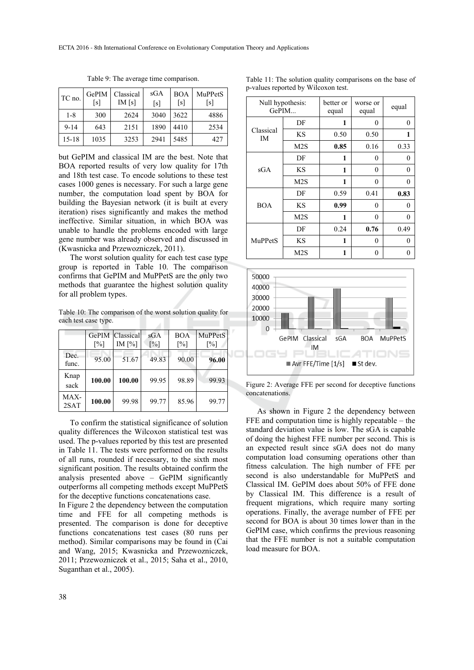| TC no.   | GePIM<br>$\lceil s \rceil$ | Classical<br>IM[s] | sGA<br>[s] | <b>BOA</b><br>[s] | MuPPetS<br>[s] |
|----------|----------------------------|--------------------|------------|-------------------|----------------|
| $1 - 8$  | 300                        | 2624               | 3040       | 3622              | 4886           |
| $9 - 14$ | 643                        | 2151               | 1890       | 4410              | 2534           |
| 15-18    | 1035                       | 3253               | 2941       | 5485              | 427            |

Table 9: The average time comparison.

but GePIM and classical IM are the best. Note that BOA reported results of very low quality for 17th and 18th test case. To encode solutions to these test cases 1000 genes is necessary. For such a large gene number, the computation load spent by BOA for building the Bayesian network (it is built at every iteration) rises significantly and makes the method ineffective. Similar situation, in which BOA was unable to handle the problems encoded with large gene number was already observed and discussed in (Kwasnicka and Przewozniczek, 2011).

The worst solution quality for each test case type group is reported in Table 10. The comparison confirms that GePIM and MuPPetS are the only two methods that guarantee the highest solution quality for all problem types.

Table 10: The comparison of the worst solution quality for each test case type. a L

|               | $\lceil\% \rceil$ | <b>GePIM</b> Classical<br>IM $[\%]$ | sGA<br>$\lceil\% \rceil$ | <b>BOA</b><br>$\lceil\% \rceil$ | MuPPetS<br>$\lceil\% \rceil$ |
|---------------|-------------------|-------------------------------------|--------------------------|---------------------------------|------------------------------|
| Dec.<br>func. | 95.00             | 51.67                               | 49.83                    | 90.00                           | 96.00                        |
| Knap<br>sack  | 100.00            | 100.00                              | 99 95                    | 98.89                           | 99.93                        |
| MAX-<br>2SAT  | 100.00            | 99.98                               | 99.77                    | 85.96                           | 99.77                        |

To confirm the statistical significance of solution quality differences the Wilcoxon statistical test was used. The p-values reported by this test are presented in Table 11. The tests were performed on the results of all runs, rounded if necessary, to the sixth most significant position. The results obtained confirm the analysis presented above – GePIM significantly outperforms all competing methods except MuPPetS for the deceptive functions concatenations case.

In Figure 2 the dependency between the computation time and FFE for all competing methods is presented. The comparison is done for deceptive functions concatenations test cases (80 runs per method). Similar comparisons may be found in (Cai and Wang, 2015; Kwasnicka and Przewozniczek, 2011; Przewozniczek et al., 2015; Saha et al., 2010, Suganthan et al., 2005).

|  |  |  |                                     | Table 11: The solution quality comparisons on the base of |  |  |
|--|--|--|-------------------------------------|-----------------------------------------------------------|--|--|
|  |  |  | p-values reported by Wilcoxon test. |                                                           |  |  |

| Null hypothesis: | GePIM            | better or<br>worse or<br>equal<br>equal |      |              |  |
|------------------|------------------|-----------------------------------------|------|--------------|--|
|                  | DF               | 1                                       | 0    | $\mathbf{0}$ |  |
| Classical<br>IM  | <b>KS</b>        | 0.50                                    | 0.50 | 1            |  |
|                  | M2S              | 0.85                                    | 0.16 | 0.33         |  |
|                  | DF               | 1                                       | 0    | 0            |  |
| sGA              | ΚS               | 1                                       | 0    | $\theta$     |  |
|                  | M <sub>2</sub> S | 1                                       | 0    | 0            |  |
|                  | DF               | 0.59                                    | 0.41 | 0.83         |  |
| BOA              | ΚS               | 0.99                                    | 0    | 0            |  |
|                  | M <sub>2</sub> S | 1                                       | 0    | 0            |  |
|                  | DF               | 0.24                                    | 0.76 | 0.49         |  |
| MuPPetS          | ΚS               | 1                                       | 0    | 0            |  |
|                  | M <sub>2</sub> S | 1                                       | 0    | 0            |  |



Figure 2: Average FFE per second for deceptive functions concatenations.

As shown in Figure 2 the dependency between FFE and computation time is highly repeatable – the standard deviation value is low. The sGA is capable of doing the highest FFE number per second. This is an expected result since sGA does not do many computation load consuming operations other than fitness calculation. The high number of FFE per second is also understandable for MuPPetS and Classical IM. GePIM does about 50% of FFE done by Classical IM. This difference is a result of frequent migrations, which require many sorting operations. Finally, the average number of FFE per second for BOA is about 30 times lower than in the GePIM case, which confirms the previous reasoning that the FFE number is not a suitable computation load measure for BOA.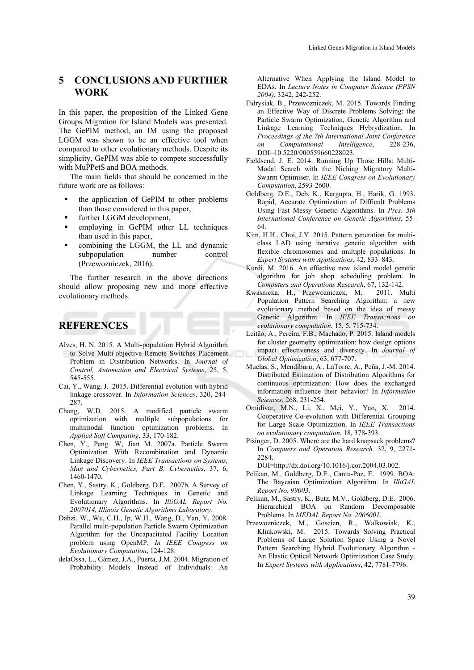### **5 CONCLUSIONS AND FURTHER WORK**

In this paper, the proposition of the Linked Gene Groups Migration for Island Models was presented. The GePIM method, an IM using the proposed LGGM was shown to be an effective tool when compared to other evolutionary methods. Despite its simplicity, GePIM was able to compete successfully with MuPPetS and BOA methods.

The main fields that should be concerned in the future work are as follows:

- the application of GePIM to other problems than those considered in this paper,
- further LGGM development,
- employing in GePIM other LL techniques than used in this paper,
- combining the LGGM, the LL and dynamic subpopulation number control (Przewozniczek, 2016).

The further research in the above directions should allow proposing new and more effective evolutionary methods.

### **REFERENCES**

- Alves, H. N. 2015. A Multi-population Hybrid Algorithm to Solve Multi-objective Remote Switches Placement Problem in Distribution Networks. In *Journal of Control, Automation and Electrical Systems*, 25, 5, 545-555.
- Cai, Y., Wang, J. 2015. Differential evolution with hybrid linkage crossover. In *Information Sciences*, 320, 244- 287.
- Chang, W.D. 2015. A modified particle swarm optimization with multiple subpopulations for multimodal function optimization problems. In *Applied Soft Computing*, 33, 170-182.
- Chen, Y., Peng. W, Jian M. 2007a. Particle Swarm Optimization With Recombination and Dynamic Linkage Discovery. In *IEEE Transactions on Systems, Man and Cybernetics, Part B: Cybernetics*, 37, 6, 1460-1470.
- Chen, Y., Sastry, K., Goldberg, D.E. 2007b. A Survey of Linkage Learning Techniques in Genetic and Evolutionary Algorithms. In *IlliGAL Report No. 2007014, Illinois Genetic Algorithms Laboratory*.
- Dahzi, W., Wu, C.H., Ip, W.H., Wang, D., Yan, Y. 2008. Parallel multi-population Particle Swarm Optimization Algorithm for the Uncapacitated Facility Location problem using OpenMP. *In IEEE Congress on Evolutionary Computation*, 124-128.
- delaOssa, L., Gámez, J.A., Puerta, J.M. 2004. Migration of Probability Models Instead of Individuals: An

Alternative When Applying the Island Model to EDAs. In *Lecture Notes in Computer Science (PPSN 2004)*, 3242, 242-252.

- Fidrysiak, B., Przewozniczek, M. 2015. Towards Finding an Effective Way of Discrete Problems Solving: the Particle Swarm Optimization, Genetic Algorithm and Linkage Learning Techniques Hybrydization. In *Proceedings of the 7th International Joint Conference on Computational Intelligence*, 228-236, DOI=10.5220/000559660228023.
- Fieldsend, J. E. 2014. Running Up Those Hills: Multi-Modal Search with the Niching Migratory Multi-Swarm Optimiser. In *IEEE Congress on Evolutionary Computation*, 2593-2600.
- Goldberg, D.E., Deb, K., Kargupta, H., Harik, G. 1993. Rapid, Accurate Optimization of Difficult Problems Using Fast Messy Genetic Algorithms. In *Prcs. 5th International Conference on Genetic Algorithms*, 55- 64.
- Kim, H.H., Choi, J.Y. 2015. Pattern generation for multiclass LAD using iterative genetic algorithm with flexible chromosomes and multiple populations. In *Expert Systems with Applications*, 42, 833–843.
- Kurdi, M. 2016. An effective new island model genetic algorithm for job shop scheduling problem. In *Computers and Operations Research*, 67, 132-142.
- Kwasnicka, H., Przewozniczek, M. 2011. Multi Population Pattern Searching Algorithm: a new evolutionary method based on the idea of messy Genetic Algorithm. In *IEEE Transactions on evolutionary computation*, 15, 5, 715-734.
- Leitão, A., Pereira, F.B., Machado, P. 2015. Island models for cluster geometry optimization: how design options impact effectiveness and diversity. In *Journal of Global Optimization*, 63, 677-707.
- Muelas, S., Mendiburu, A., LaTorre, A., Peña, J.-M. 2014. Distributed Estimation of Distribution Algorithms for continuous optimization: How does the exchanged information influence their behavior? In *Information Sciences*, 268, 231-254.
- Omidivar, M.N., Li, X., Mei, Y., Yao, X. 2014. Cooperative Co-evolution with Differential Grouping for Large Scale Optimization. In *IEEE Transactions on evolutionary computation*, 18, 378-393.
- Pisinger, D. 2005. Where are the hard knapsack problems? In *Compuers and Operation Research.* 32, 9, 2271- 2284.

DOI=http://dx.doi.org/10.1016/j.cor.2004.03.002.

- Pelikan, M., Goldberg, D.E., Cantu-Paz, E. 1999. BOA: The Bayesian Optimization Algorithm. In *IlliGAL Report No. 99003*.
- Pelikan, M., Sastry, K., Butz, M.V., Goldberg, D.E. 2006. Hierarchical BOA on Random Decomposable Problems. In *MEDAL Report No. 2006001*.
- Przewozniczek, M., Goscien, R., Walkowiak, K., Klinkowski, M. 2015. Towards Solving Practical Problems of Large Solution Space Using a Novel Pattern Searching Hybrid Evolutionary Algorithm - An Elastic Optical Network Optimization Case Study. In *Expert Systems with Applications*, 42, 7781-7796.